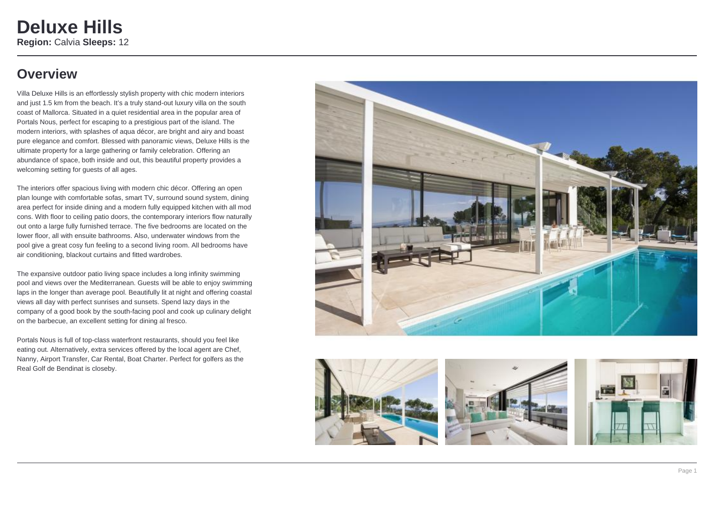## **Overview**

Villa Deluxe Hills is an effortlessly stylish property with chic modern interiors and just 1.5 km from the beach. It's a truly stand-out luxury villa on the south coast of Mallorca. Situated in a quiet residential area in the popular area of Portals Nous, perfect for escaping to a prestigious part of the island. The modern interiors, with splashes of aqua décor, are bright and airy and boast pure elegance and comfort. Blessed with panoramic views, Deluxe Hills is the ultimate property for a large gathering or family celebration. Offering an abundance of space, both inside and out, this beautiful property provides a welcoming setting for guests of all ages.

The interiors offer spacious living with modern chic décor. Offering an open plan lounge with comfortable sofas, smart TV, surround sound system, dining area perfect for inside dining and a modern fully equipped kitchen with all mod cons. With floor to ceiling patio doors, the contemporary interiors flow naturally out onto a large fully furnished terrace. The five bedrooms are located on the lower floor, all with ensuite bathrooms. Also, underwater windows from the pool give a great cosy fun feeling to a second living room. All bedrooms have air conditioning, blackout curtains and fitted wardrobes.

The expansive outdoor patio living space includes a long infinity swimming pool and views over the Mediterranean. Guests will be able to enjoy swimming laps in the longer than average pool. Beautifully lit at night and offering coastal views all day with perfect sunrises and sunsets. Spend lazy days in the company of a good book by the south-facing pool and cook up culinary delight on the barbecue, an excellent setting for dining al fresco.

Portals Nous is full of top-class waterfront restaurants, should you feel like eating out. Alternatively, extra services offered by the local agent are Chef, Nanny, Airport Transfer, Car Rental, Boat Charter. Perfect for golfers as the Real Golf de Bendinat is closeby.







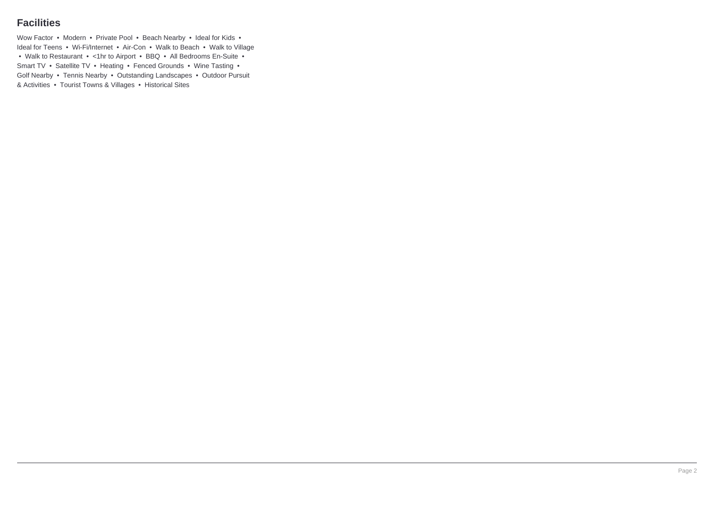### **Facilities**

Wow Factor • Modern • Private Pool • Beach Nearby • Ideal for Kids • Ideal for Teens • Wi-Fi/Internet • Air-Con • Walk to Beach • Walk to Village • Walk to Restaurant • <1hr to Airport • BBQ • All Bedrooms En-Suite • Smart TV • Satellite TV • Heating • Fenced Grounds • Wine Tasting • Golf Nearby • Tennis Nearby • Outstanding Landscapes • Outdoor Pursuit & Activities • Tourist Towns & Villages • Historical Sites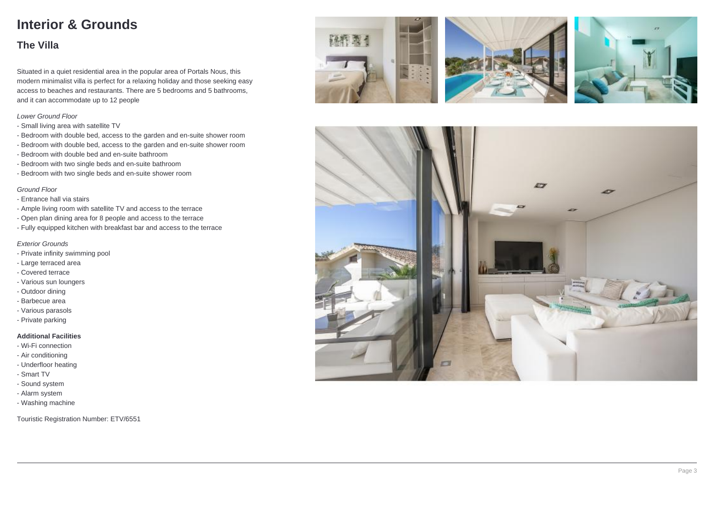# **Interior & Grounds**

### **The Villa**

Situated in a quiet residential area in the popular area of Portals Nous, this modern minimalist villa is perfect for a relaxing holiday and those seeking easy access to beaches and restaurants. There are 5 bedrooms and 5 bathrooms, and it can accommodate up to 12 people

#### Lower Ground Floor

- Small living area with satellite TV
- Bedroom with double bed, access to the garden and en-suite shower room
- Bedroom with double bed, access to the garden and en-suite shower room
- Bedroom with double bed and en-suite bathroom
- Bedroom with two single beds and en-suite bathroom
- Bedroom with two single beds and en-suite shower room

#### Ground Floor

- Entrance hall via stairs
- Ample living room with satellite TV and access to the terrace
- Open plan dining area for 8 people and access to the terrace
- Fully equipped kitchen with breakfast bar and access to the terrace

#### Exterior Grounds

- Private infinity swimming pool
- Large terraced area
- Covered terrace
- Various sun loungers
- Outdoor dining
- Barbecue area
- Various parasols
- Private parking

#### **Additional Facilities**

- Wi-Fi connection
- Air conditioning
- Underfloor heating
- Smart TV
- Sound system
- Alarm system
- Washing machine

Touristic Registration Number: ETV/6551







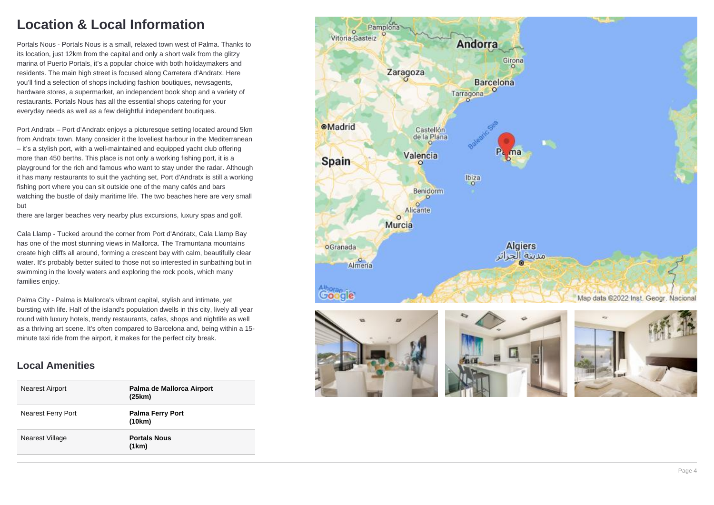# **Location & Local Information**

Portals Nous - Portals Nous is a small, relaxed town west of Palma. Thanks to its location, just 12km from the capital and only a short walk from the glitzy marina of Puerto Portals, it's a popular choice with both holidaymakers and residents. The main high street is focused along Carretera d'Andratx. Here you'll find a selection of shops including fashion boutiques, newsagents, hardware stores, a supermarket, an independent book shop and a variety of restaurants. Portals Nous has all the essential shops catering for your everyday needs as well as a few delightful independent boutiques.

Port Andratx – Port d'Andratx enjoys a picturesque setting located around 5km from Andratx town. Many consider it the loveliest harbour in the Mediterranean – it's a stylish port, with a well-maintained and equipped yacht club offering more than 450 berths. This place is not only a working fishing port, it is a playground for the rich and famous who want to stay under the radar. Although it has many restaurants to suit the yachting set, Port d'Andratx is still a working fishing port where you can sit outside one of the many cafés and bars watching the bustle of daily maritime life. The two beaches here are very small but

there are larger beaches very nearby plus excursions, luxury spas and golf.

Cala Llamp - Tucked around the corner from Port d'Andratx, Cala Llamp Bay has one of the most stunning views in Mallorca. The Tramuntana mountains create high cliffs all around, forming a crescent bay with calm, beautifully clear water. It's probably better suited to those not so interested in sunbathing but in swimming in the lovely waters and exploring the rock pools, which many families enjoy.

Palma City - Palma is Mallorca's vibrant capital, stylish and intimate, yet bursting with life. Half of the island's population dwells in this city, lively all year round with luxury hotels, trendy restaurants, cafes, shops and nightlife as well as a thriving art scene. It's often compared to Barcelona and, being within a 15 minute taxi ride from the airport, it makes for the perfect city break.

### **Local Amenities**

| <b>Nearest Airport</b> | Palma de Mallorca Airport<br>(25km) |
|------------------------|-------------------------------------|
| Nearest Ferry Port     | <b>Palma Ferry Port</b><br>(10km)   |
| Nearest Village        | <b>Portals Nous</b><br>(1km)        |

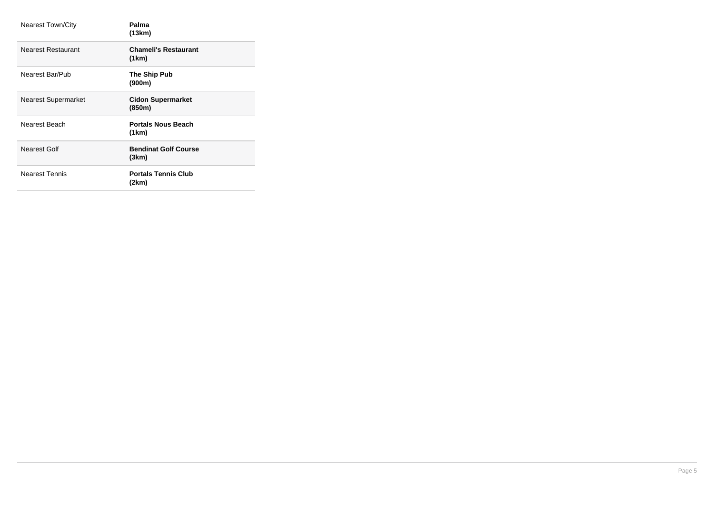| <b>Nearest Town/City</b>   | Palma<br>(13km)                      |
|----------------------------|--------------------------------------|
| Nearest Restaurant         | <b>Chameli's Restaurant</b><br>(1km) |
| Nearest Bar/Pub            | The Ship Pub<br>(900m)               |
| <b>Nearest Supermarket</b> | <b>Cidon Supermarket</b><br>(850m)   |
| Nearest Beach              | <b>Portals Nous Beach</b><br>(1km)   |
| Nearest Golf               | <b>Bendinat Golf Course</b><br>(3km) |
| <b>Nearest Tennis</b>      | <b>Portals Tennis Club</b><br>(2km)  |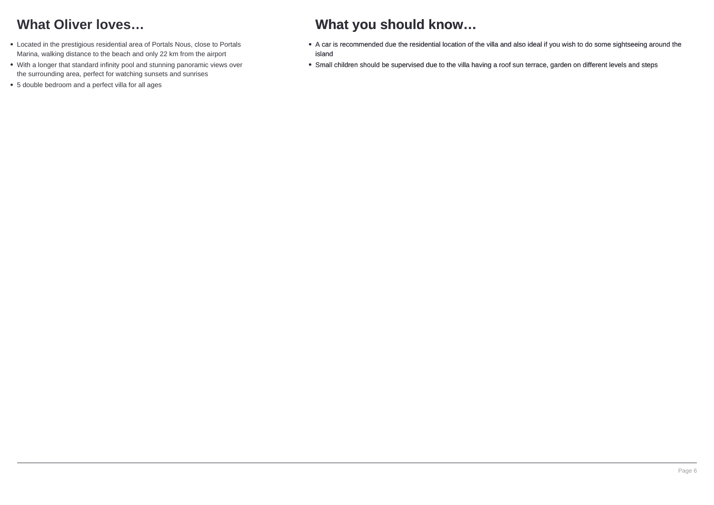# **What Oliver loves…**

- Located in the prestigious residential area of Portals Nous, close to Portals Marina, walking distance to the beach and only 22 km from the airport
- With a longer that standard infinity pool and stunning panoramic views over the surrounding area, perfect for watching sunsets and sunrises
- 5 double bedroom and a perfect villa for all ages

## **What you should know…**

- A car is recommended due the residential location of the villa and also ideal if you wish to do some sightseeing around the island
- Small children should be supervised due to the villa having a roof sun terrace, garden on different levels and steps